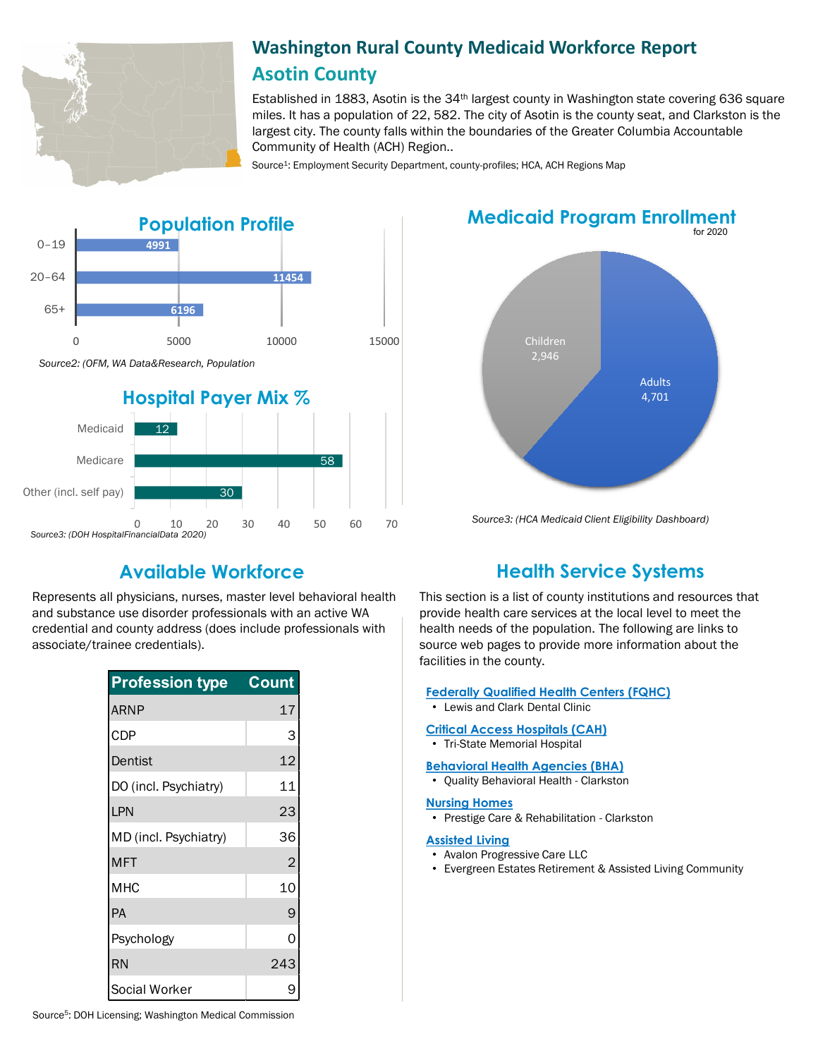

# **Washington Rural County Medicaid Workforce Report Asotin County**

Established in 1883, Asotin is the 34th largest county in Washington state covering 636 square miles. It has a population of 22, 582. The city of Asotin is the county seat, and Clarkston is the largest city. The county falls within the boundaries of the Greater Columbia Accountable Community of Health (ACH) Region..

Source<sup>1</sup>: Employment Security Department, county-profiles; HCA, ACH Regions Map



# **Medicaid Program Enrollment**



*Source3: (HCA Medicaid Client Eligibility Dashboard)*

Represents all physicians, nurses, master level behavioral health and substance use disorder professionals with an active WA credential and county address (does include professionals with associate/trainee credentials).

| <b>Profession type</b> | Count |
|------------------------|-------|
| ARNP                   | 17    |
| CDP                    | 3     |
| Dentist                | 12    |
| DO (incl. Psychiatry)  | 11    |
| LPN                    | 23    |
| MD (incl. Psychiatry)  | 36    |
| <b>MFT</b>             | 2     |
| МНС                    | 10    |
| <b>PA</b>              | 9     |
| Psychology             | ი     |
| RN                     | 243   |
| Social Worker          |       |

# **Available Workforce Health Service Systems**

This section is a list of county institutions and resources that provide health care services at the local level to meet the health needs of the population. The following are links to source web pages to provide more information about the facilities in the county.

### **[Federally Qualified Health Centers \(FQHC\)](https://www.wacommunityhealth.org/)**

• Lewis and Clark Dental Clinic

#### **[Critical Access Hospitals \(CAH\)](https://www.doh.wa.gov/ForPublicHealthandHealthcareProviders/RuralHealth/RuralHealthSystems)**

• Tri-State Memorial Hospital

#### **[Behavioral Health Agencies \(BHA\)](https://www.doh.wa.gov/LicensesPermitsandCertificates/ProviderCredentialSearch)**

• Quality Behavioral Health - Clarkston

#### **[Nursing Homes](https://fortress.wa.gov/dshs/adsaapps/lookup/NHPubLookup.aspx)**

• Prestige Care & Rehabilitation - Clarkston

#### **[Assisted Living](https://fortress.wa.gov/dshs/adsaapps/lookup/BHPubLookup.aspx)**

- Avalon Progressive Care LLC
- Evergreen Estates Retirement & Assisted Living Community